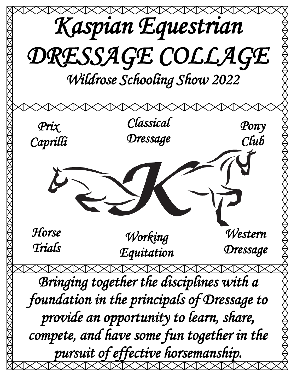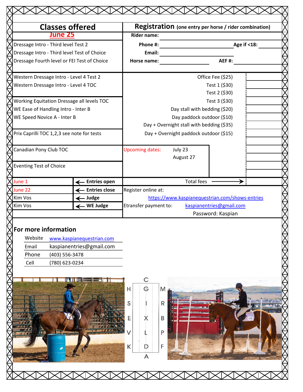|                                     | <b>Classes offered</b>                      | Registration (one entry per horse / rider combination) |                                           |                          |             |  |
|-------------------------------------|---------------------------------------------|--------------------------------------------------------|-------------------------------------------|--------------------------|-------------|--|
|                                     | <b>June 25</b>                              | <b>Rider name:</b>                                     |                                           |                          |             |  |
| Dressage Intro - Third level Test 2 |                                             | Phone #:                                               |                                           |                          | Age if <18: |  |
|                                     | Dressage Intro - Third level Test of Choice | Email:                                                 |                                           |                          |             |  |
|                                     | Dressage Fourth level or FEI Test of Choice | Horse name:                                            |                                           | <b>AEF#:</b>             |             |  |
|                                     |                                             |                                                        |                                           |                          |             |  |
|                                     | Western Dressage Intro - Level 4 Test 2     |                                                        |                                           | Office Fee (\$25)        |             |  |
|                                     | Western Dressage Intro - Level 4 TOC        |                                                        |                                           | Test 1 (\$30)            |             |  |
|                                     |                                             |                                                        |                                           | Test 2 (\$30)            |             |  |
|                                     | Working Equitation Dressage all levels TOC  |                                                        |                                           | Test 3 (\$30)            |             |  |
| WE Ease of Handling Intro - Inter B |                                             |                                                        | Day stall with bedding (\$20)             |                          |             |  |
| WE Speed Novice A - Inter B         |                                             |                                                        | Day paddock outdoor (\$10)                |                          |             |  |
|                                     |                                             |                                                        | Day + Overnight stall with bedding (\$35) |                          |             |  |
|                                     | Prix Caprilli TOC 1,2,3 see note for tests  |                                                        | Day + Overnight paddock outdoor (\$15)    |                          |             |  |
|                                     |                                             |                                                        |                                           |                          |             |  |
| Canadian Pony Club TOC              |                                             | <b>Upcoming dates:</b>                                 | July 23                                   |                          |             |  |
|                                     |                                             |                                                        | August 27                                 |                          |             |  |
| <b>Eventing Test of Choice</b>      |                                             |                                                        |                                           |                          |             |  |
|                                     |                                             |                                                        |                                           |                          |             |  |
| June 1                              | - Entries open                              |                                                        | <b>Total fees</b>                         |                          |             |  |
| June 22                             | <b>Entries close</b>                        | Register online at:                                    |                                           |                          |             |  |
| Kim Vos                             | Judge                                       | https://www.kaspianequestrian.com/shows-entries        |                                           |                          |             |  |
| Kim Vos                             | - WE Judge                                  | Etransfer payment to:                                  |                                           | kaspianentries@gmail.com |             |  |
|                                     |                                             |                                                        |                                           | Password: Kaspian        |             |  |
| For more information                |                                             |                                                        |                                           |                          |             |  |
| Website                             | www.kaspianequestrian.com                   |                                                        |                                           |                          |             |  |
| Email                               | kaspianentries@gmail.com                    |                                                        |                                           |                          |             |  |
| Phone                               | (403) 556-3478                              |                                                        |                                           |                          |             |  |
| Cell                                | (780) 623-0234                              |                                                        |                                           |                          |             |  |
|                                     |                                             |                                                        |                                           |                          |             |  |
|                                     |                                             |                                                        |                                           |                          |             |  |
|                                     |                                             |                                                        |                                           |                          |             |  |
|                                     |                                             | Н<br>G                                                 | M                                         |                          |             |  |
|                                     |                                             | S                                                      | R                                         |                          |             |  |
|                                     |                                             |                                                        |                                           |                          |             |  |
|                                     |                                             | Χ                                                      | B                                         |                          |             |  |
|                                     |                                             |                                                        |                                           |                          |             |  |
|                                     |                                             |                                                        | P                                         |                          |             |  |
|                                     |                                             |                                                        |                                           |                          |             |  |
|                                     |                                             | К                                                      | F                                         |                          |             |  |
|                                     |                                             | A                                                      |                                           |                          |             |  |
|                                     |                                             |                                                        |                                           |                          |             |  |
|                                     |                                             |                                                        |                                           |                          |             |  |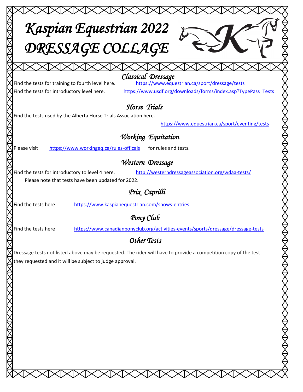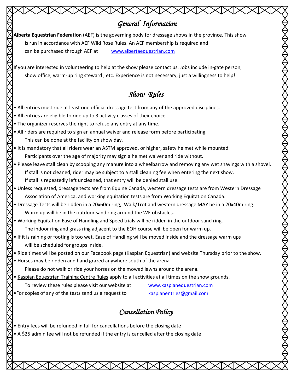## *General Information*

**Alberta Equestrian Federation** (AEF) is the governing body for dressage shows in the province. This show is run in accordance with AEF Wild Rose Rules. An AEF membership is required and can be purchased through AEF at [www.albertaequestrian.com](http://www.albertaequestrian.com/)

f you are interested in volunteering to help at the show please contact us. Jobs include in-gate person, show office, warm-up ring steward , etc. Experience is not necessary, just a willingness to help!

# *Show Rules*

- All entries must ride at least one official dressage test from any of the approved disciplines.
- All entries are eligible to ride up to 3 activity classes of their choice.
- The organizer reserves the right to refuse any entry at any time.
- All riders are required to sign an annual waiver and release form before participating. This can be done at the facility on show day.
- It is mandatory that all riders wear an ASTM approved, or higher, safety helmet while mounted. Participants over the age of majority may sign a helmet waiver and ride without.
- Please leave stall clean by scooping any manure into a wheelbarrow and removing any wet shavings with a shovel. If stall is not cleaned, rider may be subject to a stall cleaning fee when entering the next show. If stall is repeatedly left uncleaned, that entry will be denied stall use.
- Unless requested, dressage tests are from Equine Canada, western dressage tests are from Western Dressage Association of America, and working equitation tests are from Working Equitation Canada.
- Dressage Tests will be ridden in a 20x60m ring, Walk/Trot and western dressage MAY be in a 20x40m ring. Warm up will be in the outdoor sand ring around the WE obstacles.
- Working Equitation Ease of Handling and Speed trials will be ridden in the outdoor sand ring. The indoor ring and grass ring adjacent to the EOH course will be open for warm up.
- If it is raining or footing is too wet, Ease of Handling will be moved inside and the dressage warm ups will be scheduled for groups inside.
- Ride times will be posted on our Facebook page (Kaspian Equestrian) and website Thursday prior to the show.
- Horses may be ridden and hand grazed anywhere south of the arena
	- Please do not walk or ride your horses on the mowed lawns around the arena.
- Kaspian Equestrian Training Centre Rules apply to all activities at all times on the show grounds.
	- To review these rules please visit our website at [www.kaspianequestrian.com](http://www.kaspianequestrian.com/)
		-

XXXXXXX

- •For copies of any of the tests send us a request to [kaspianentries@gmail.com](mailto:kaspianentries@gmail.com)
	-

# *Cancellation Policy*

- Entry fees will be refunded in full for cancellations before the closing date
- A \$25 admin fee will not be refunded if the entry is cancelled after the closing date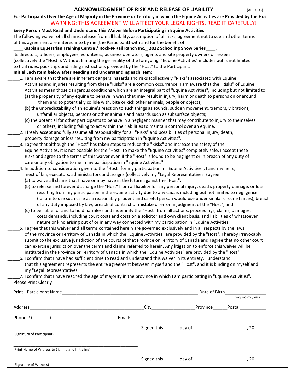### **ACKNOWLEDGMENT OF RISK AND RELEASE OF LIABILITY** (AR-0103)

**For Participants Over the Age of Majority in the Province or Territory in which the Equine Activities are Provided by the Host**

## WARNING: THIS AGREEMENT WILL AFFECT YOUR LEGAL RIGHTS. READ IT CAREFULLY!

| Every Person Must Read and Understand this Waiver Before Participating in Equine Activities                                   |  |  |  |
|-------------------------------------------------------------------------------------------------------------------------------|--|--|--|
| The following waiver of all claims, release from all liability, assumption of all risks, agreement not to sue and other terms |  |  |  |
| of this agreement are entered into by me (the Participant) with and for the benefit of:                                       |  |  |  |

#### \_\_\_\_**Kaspian Equestrian Training Centre / Rock-N-Rail Ranch Inc.**\_ **2022 Schooling Show Series**\_\_\_\_,

its directors, officers, employees, volunteers, business operators, agents and site property owners or lessees (collectively the "Host"). Without limiting the generality of the foregoing, "Equine Activities" includes but is not limited to trail rides, pack trips and riding instructions provided by the "Host" to the Participant. **Initial Each Item below after Reading and Understanding each item:**

### 1. I am aware that there are inherent dangers, hazards and risks (collectively "Risks") associated with Equine Activities and injuries resulting from these "Risks" are a common occurrence. I am aware that the "Risks" of Equine Activities mean those dangerous conditions which are an integral part of "Equine Activities", including but not limited to: (a) the propensity of any equine to behave in ways that may result in injury, harm or death to persons on or around

- them and to potentially collide with, bite or kick other animals, people or objects;
- (b) the unpredictability of an equine's reaction to such things as sounds, sudden movement, tremors, vibrations, unfamiliar objects, persons or other animals and hazards such as subsurface objects;
- (c) the potential for other participants to behave in a negligent manner that may contribute to injury to themselves or others, including failing to act within their abilities to maintain control over an equine.
- \_\_\_\_\_2. I freely accept and fully assume all responsibility for all "Risks" and possibilities of personal injury, death, property damage or loss resulting from my participation in "Equine Activities".
- \_\_\_\_\_3. I agree that although the "Host" has taken steps to reduce the "Risks" and increase the safety of the Equine Activities, it is not possible for the "Host" to make the "Equine Activities" completely safe. I accept these Risks and agree to the terms of this waiver even if the "Host" is found to be negligent or in breach of any duty of care or any obligation to me in my participation in "Equine Activities".
- \_\_\_\_\_4. In addition to consideration given to the "Host" for my participation in "Equine Activities", I and my heirs, next of kin, executors, administrators and assigns (collectively my "Legal Representatives") agree:
	- (a) to waive all claims that I have or may have in the future against the "Host";
	- (b) to release and forever discharge the "Host" from all liability for any personal injury, death, property damage, or loss resulting from my participation in the equine activity due to any cause, including but not limited to negligence (failure to use such care as a reasonably prudent and careful person would use under similar circumstances), breach of any duty imposed by law, breach of contract or mistake or error in judgment of the "Host"; and
	- (c) to be liable for and to hold harmless and indemnify the "Host" from all actions, proceedings, claims, damages, costs demands, including court costs and costs on a solicitor and own client basis, and liabilities of whatsoever nature or kind arising out of or in any way connected with my participation in "Equine Activities".
- \_\_\_\_\_5. I agree that this waiver and all terms contained herein are governed exclusively and in all respects by the laws of the Province or Territory of Canada in which the "Equine Activities" are provided by the "Host". I hereby irrevocably submit to the exclusive jurisdiction of the courts of that Province or Territory of Canada and I agree that no other court can exercise jurisdiction over the terms and claims referred to herein. Any litigation to enforce this waiver will be instituted in the Province or Territory of Canada in which the "Equine Activities" are provided by the "Host".
- \_\_\_\_\_6. I confirm that I have had sufficient time to read and understand this waiver in its entirety. I understand that this agreement represents the entire agreement between myself and the "Host", and it is binding on myself and my "Legal Representatives".

|                      | 7. I confirm that I have reached the age of majority in the province in which I am participating in "Equine Activities". |  |
|----------------------|--------------------------------------------------------------------------------------------------------------------------|--|
| Please Print Clearly |                                                                                                                          |  |

| Print - Participant Name                                                                             |        | Date of Birth                                                                                                                                                                                                                       |                    |                     |  |
|------------------------------------------------------------------------------------------------------|--------|-------------------------------------------------------------------------------------------------------------------------------------------------------------------------------------------------------------------------------------|--------------------|---------------------|--|
|                                                                                                      |        |                                                                                                                                                                                                                                     |                    | DAY / MONTH / YEAR  |  |
| Address                                                                                              |        | City <b>City</b> and the control of the control of the control of the control of the control of the control of the control of the control of the control of the control of the control of the control of the control of the control | Province           | Postal_____________ |  |
| Phone # (<br>$\overline{\phantom{a}}$ ) and the contract of the contract of $\overline{\phantom{a}}$ | Email: |                                                                                                                                                                                                                                     |                    |                     |  |
|                                                                                                      |        |                                                                                                                                                                                                                                     |                    | , 20                |  |
| (Signature of Participant)                                                                           |        |                                                                                                                                                                                                                                     |                    |                     |  |
| (Print Name of Witness to Signing and Initialing)                                                    |        |                                                                                                                                                                                                                                     |                    |                     |  |
|                                                                                                      |        |                                                                                                                                                                                                                                     | Signed this day of | . 20                |  |
| (Signature of Witness)                                                                               |        |                                                                                                                                                                                                                                     |                    |                     |  |